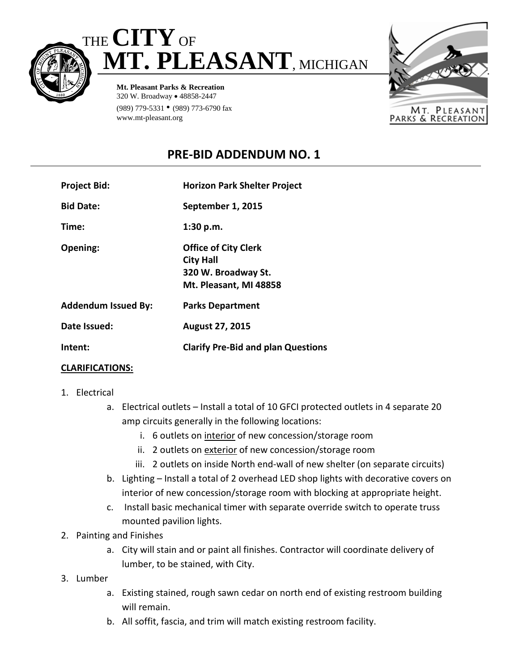



**Mt. Pleasant Parks & Recreation** 320 W. Broadway • 48858-2447 (989) 779-5331 • (989) 773-6790 fax www.mt-pleasant.org



## **PRE-BID ADDENDUM NO. 1**

| <b>Project Bid:</b>        | <b>Horizon Park Shelter Project</b>                                                              |
|----------------------------|--------------------------------------------------------------------------------------------------|
| <b>Bid Date:</b>           | September 1, 2015                                                                                |
| Time:                      | 1:30 p.m.                                                                                        |
| Opening:                   | <b>Office of City Clerk</b><br><b>City Hall</b><br>320 W. Broadway St.<br>Mt. Pleasant, MI 48858 |
| <b>Addendum Issued By:</b> | <b>Parks Department</b>                                                                          |
| Date Issued:               | <b>August 27, 2015</b>                                                                           |
| Intent:                    | <b>Clarify Pre-Bid and plan Questions</b>                                                        |

## **CLARIFICATIONS:**

- 1. Electrical
	- a. Electrical outlets Install a total of 10 GFCI protected outlets in 4 separate 20 amp circuits generally in the following locations:
		- i. 6 outlets on interior of new concession/storage room
		- ii. 2 outlets on exterior of new concession/storage room
		- iii. 2 outlets on inside North end-wall of new shelter (on separate circuits)
	- b. Lighting Install a total of 2 overhead LED shop lights with decorative covers on interior of new concession/storage room with blocking at appropriate height.
	- c. Install basic mechanical timer with separate override switch to operate truss mounted pavilion lights.
- 2. Painting and Finishes
	- a. City will stain and or paint all finishes. Contractor will coordinate delivery of lumber, to be stained, with City.
- 3. Lumber
	- a. Existing stained, rough sawn cedar on north end of existing restroom building will remain.
	- b. All soffit, fascia, and trim will match existing restroom facility.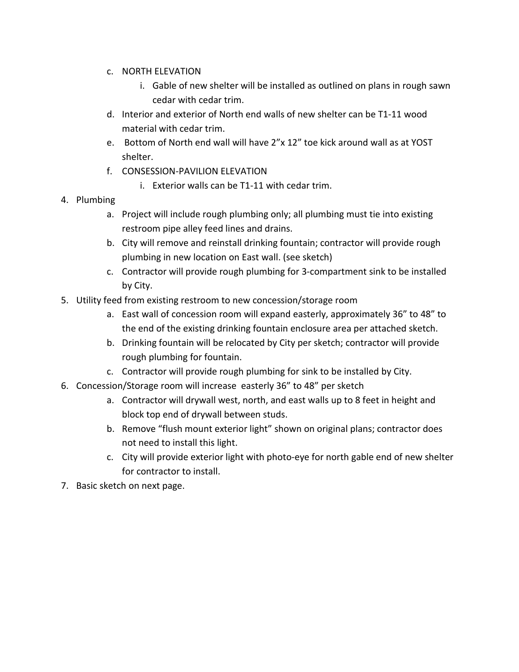- c. NORTH ELEVATION
	- i. Gable of new shelter will be installed as outlined on plans in rough sawn cedar with cedar trim.
- d. Interior and exterior of North end walls of new shelter can be T1-11 wood material with cedar trim.
- e. Bottom of North end wall will have 2"x 12" toe kick around wall as at YOST shelter.
- f. CONSESSION-PAVILION ELEVATION
	- i. Exterior walls can be T1-11 with cedar trim.
- 4. Plumbing
	- a. Project will include rough plumbing only; all plumbing must tie into existing restroom pipe alley feed lines and drains.
	- b. City will remove and reinstall drinking fountain; contractor will provide rough plumbing in new location on East wall. (see sketch)
	- c. Contractor will provide rough plumbing for 3-compartment sink to be installed by City.
- 5. Utility feed from existing restroom to new concession/storage room
	- a. East wall of concession room will expand easterly, approximately 36" to 48" to the end of the existing drinking fountain enclosure area per attached sketch.
	- b. Drinking fountain will be relocated by City per sketch; contractor will provide rough plumbing for fountain.
	- c. Contractor will provide rough plumbing for sink to be installed by City.
- 6. Concession/Storage room will increase easterly 36" to 48" per sketch
	- a. Contractor will drywall west, north, and east walls up to 8 feet in height and block top end of drywall between studs.
	- b. Remove "flush mount exterior light" shown on original plans; contractor does not need to install this light.
	- c. City will provide exterior light with photo-eye for north gable end of new shelter for contractor to install.
- 7. Basic sketch on next page.